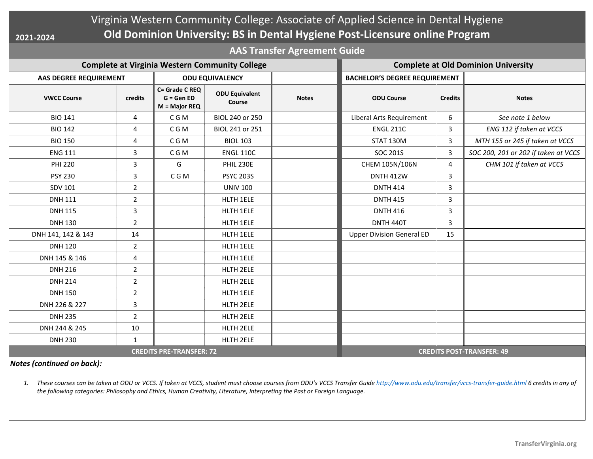**2021-2024**

## Virginia Western Community College: Associate of Applied Science in Dental Hygiene **Old Dominion University: BS in Dental Hygiene Post-Licensure online Program**

**AAS Transfer Agreement Guide**

| <b>Complete at Virginia Western Community College</b> |                |                                                |                                 |              | <b>Complete at Old Dominion University</b> |                |                                      |
|-------------------------------------------------------|----------------|------------------------------------------------|---------------------------------|--------------|--------------------------------------------|----------------|--------------------------------------|
| AAS DEGREE REQUIREMENT                                |                | <b>ODU EQUIVALENCY</b>                         |                                 |              | <b>BACHELOR'S DEGREE REQUIREMENT</b>       |                |                                      |
| <b>VWCC Course</b>                                    | credits        | C= Grade C REQ<br>$G = GenED$<br>M = Major REQ | <b>ODU Equivalent</b><br>Course | <b>Notes</b> | <b>ODU Course</b>                          | <b>Credits</b> | <b>Notes</b>                         |
| <b>BIO 141</b>                                        | 4              | C G M                                          | BIOL 240 or 250                 |              | Liberal Arts Requirement                   | 6              | See note 1 below                     |
| <b>BIO 142</b>                                        | 4              | C G M                                          | BIOL 241 or 251                 |              | <b>ENGL 211C</b>                           | 3              | ENG 112 if taken at VCCS             |
| <b>BIO 150</b>                                        | 4              | C G M                                          | <b>BIOL 103</b>                 |              | STAT 130M                                  | 3              | MTH 155 or 245 if taken at VCCS      |
| <b>ENG 111</b>                                        | 3              | C G M                                          | <b>ENGL 110C</b>                |              | <b>SOC 201S</b>                            | 3              | SOC 200, 201 or 202 if taken at VCCS |
| <b>PHI 220</b>                                        | 3              | G                                              | <b>PHIL 230E</b>                |              | CHEM 105N/106N                             | 4              | CHM 101 if taken at VCCS             |
| <b>PSY 230</b>                                        | 3              | C G M                                          | <b>PSYC 203S</b>                |              | <b>DNTH 412W</b>                           | $\overline{3}$ |                                      |
| <b>SDV 101</b>                                        | $\overline{2}$ |                                                | <b>UNIV 100</b>                 |              | <b>DNTH 414</b>                            | 3              |                                      |
| <b>DNH 111</b>                                        | $\overline{2}$ |                                                | HLTH 1ELE                       |              | <b>DNTH 415</b>                            | 3              |                                      |
| <b>DNH 115</b>                                        | $\overline{3}$ |                                                | HLTH 1ELE                       |              | <b>DNTH 416</b>                            | 3              |                                      |
| <b>DNH 130</b>                                        | $\overline{2}$ |                                                | HLTH 1ELE                       |              | DNTH 440T                                  | 3              |                                      |
| DNH 141, 142 & 143                                    | 14             |                                                | HLTH 1ELE                       |              | <b>Upper Division General ED</b>           | 15             |                                      |
| <b>DNH 120</b>                                        | $\overline{2}$ |                                                | HLTH 1ELE                       |              |                                            |                |                                      |
| DNH 145 & 146                                         | 4              |                                                | HLTH 1ELE                       |              |                                            |                |                                      |
| <b>DNH 216</b>                                        | $\overline{2}$ |                                                | HLTH 2ELE                       |              |                                            |                |                                      |
| <b>DNH 214</b>                                        | $\overline{2}$ |                                                | HLTH 2ELE                       |              |                                            |                |                                      |
| <b>DNH 150</b>                                        | $\overline{2}$ |                                                | HLTH 1ELE                       |              |                                            |                |                                      |
| DNH 226 & 227                                         | 3              |                                                | HLTH 2ELE                       |              |                                            |                |                                      |
| <b>DNH 235</b>                                        | $\overline{2}$ |                                                | HLTH 2ELE                       |              |                                            |                |                                      |
| DNH 244 & 245                                         | 10             |                                                | HLTH 2ELE                       |              |                                            |                |                                      |
| <b>DNH 230</b>                                        | $\mathbf{1}$   |                                                | HLTH 2ELE                       |              |                                            |                |                                      |
| <b>CREDITS PRE-TRANSFER: 72</b>                       |                |                                                |                                 |              | <b>CREDITS POST-TRANSFER: 49</b>           |                |                                      |

*Notes (continued on back):*

1. These courses can be taken at ODU or VCCS. If taken at VCCS, student must choose courses from ODU's VCCS Transfer Guide http://www.odu.edu/transfer/vccs-transfer-quide.html 6 credits in any of *the following categories: Philosophy and Ethics, Human Creativity, Literature, Interpreting the Past or Foreign Language.*